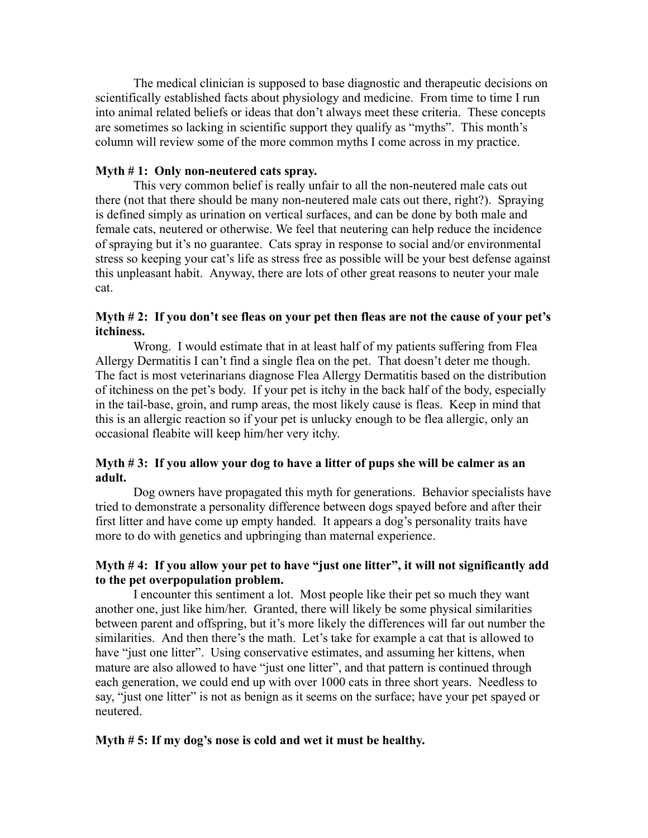The medical clinician is supposed to base diagnostic and therapeutic decisions on scientifically established facts about physiology and medicine. From time to time I run into animal related beliefs or ideas that don't always meet these criteria. These concepts are sometimes so lacking in scientific support they qualify as "myths". This month's column will review some of the more common myths I come across in my practice.

## **Myth # 1: Only non-neutered cats spray.**

This very common belief is really unfair to all the non-neutered male cats out there (not that there should be many non-neutered male cats out there, right?). Spraying is defined simply as urination on vertical surfaces, and can be done by both male and female cats, neutered or otherwise. We feel that neutering can help reduce the incidence of spraying but it's no guarantee. Cats spray in response to social and/or environmental stress so keeping your cat's life as stress free as possible will be your best defense against this unpleasant habit. Anyway, there are lots of other great reasons to neuter your male cat.

## **Myth # 2: If you don't see fleas on your pet then fleas are not the cause of your pet's itchiness.**

Wrong. I would estimate that in at least half of my patients suffering from Flea Allergy Dermatitis I can't find a single flea on the pet. That doesn't deter me though. The fact is most veterinarians diagnose Flea Allergy Dermatitis based on the distribution of itchiness on the pet's body. If your pet is itchy in the back half of the body, especially in the tail-base, groin, and rump areas, the most likely cause is fleas. Keep in mind that this is an allergic reaction so if your pet is unlucky enough to be flea allergic, only an occasional fleabite will keep him/her very itchy.

## **Myth # 3: If you allow your dog to have a litter of pups she will be calmer as an adult.**

Dog owners have propagated this myth for generations. Behavior specialists have tried to demonstrate a personality difference between dogs spayed before and after their first litter and have come up empty handed. It appears a dog's personality traits have more to do with genetics and upbringing than maternal experience.

# **Myth # 4: If you allow your pet to have "just one litter", it will not significantly add to the pet overpopulation problem.**

I encounter this sentiment a lot. Most people like their pet so much they want another one, just like him/her. Granted, there will likely be some physical similarities between parent and offspring, but it's more likely the differences will far out number the similarities. And then there's the math. Let's take for example a cat that is allowed to have "just one litter". Using conservative estimates, and assuming her kittens, when mature are also allowed to have "just one litter", and that pattern is continued through each generation, we could end up with over 1000 cats in three short years. Needless to say, "just one litter" is not as benign as it seems on the surface; have your pet spayed or neutered.

#### **Myth # 5: If my dog's nose is cold and wet it must be healthy.**